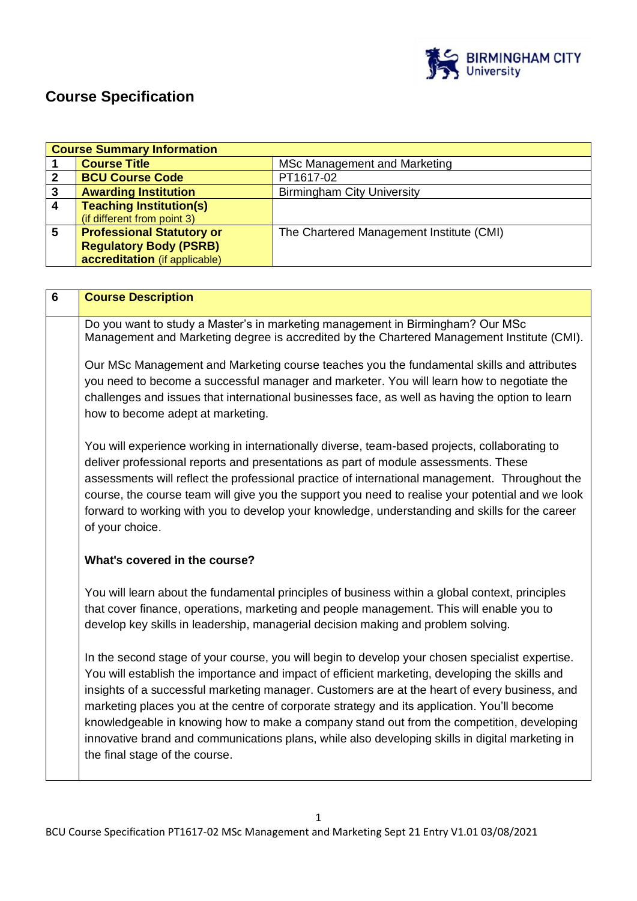

# **Course Specification**

|                         | <b>Course Summary Information</b>                                                                |                                                                                                 |  |  |
|-------------------------|--------------------------------------------------------------------------------------------------|-------------------------------------------------------------------------------------------------|--|--|
| 1                       | <b>Course Title</b>                                                                              | <b>MSc Management and Marketing</b>                                                             |  |  |
| $\mathbf 2$             | <b>BCU Course Code</b>                                                                           | PT1617-02                                                                                       |  |  |
| $\mathbf{3}$            | <b>Awarding Institution</b>                                                                      | <b>Birmingham City University</b>                                                               |  |  |
| $\overline{\mathbf{4}}$ | <b>Teaching Institution(s)</b>                                                                   |                                                                                                 |  |  |
|                         | (if different from point 3)                                                                      |                                                                                                 |  |  |
| 5                       | <b>Professional Statutory or</b>                                                                 | The Chartered Management Institute (CMI)                                                        |  |  |
|                         | <b>Regulatory Body (PSRB)</b>                                                                    |                                                                                                 |  |  |
|                         | accreditation (if applicable)                                                                    |                                                                                                 |  |  |
|                         |                                                                                                  |                                                                                                 |  |  |
|                         |                                                                                                  |                                                                                                 |  |  |
| $6\phantom{1}6$         | <b>Course Description</b>                                                                        |                                                                                                 |  |  |
|                         |                                                                                                  |                                                                                                 |  |  |
|                         |                                                                                                  | Do you want to study a Master's in marketing management in Birmingham? Our MSc                  |  |  |
|                         |                                                                                                  | Management and Marketing degree is accredited by the Chartered Management Institute (CMI).      |  |  |
|                         |                                                                                                  | Our MSc Management and Marketing course teaches you the fundamental skills and attributes       |  |  |
|                         |                                                                                                  | you need to become a successful manager and marketer. You will learn how to negotiate the       |  |  |
|                         |                                                                                                  |                                                                                                 |  |  |
|                         | challenges and issues that international businesses face, as well as having the option to learn  |                                                                                                 |  |  |
|                         | how to become adept at marketing.                                                                |                                                                                                 |  |  |
|                         |                                                                                                  |                                                                                                 |  |  |
|                         | You will experience working in internationally diverse, team-based projects, collaborating to    |                                                                                                 |  |  |
|                         | deliver professional reports and presentations as part of module assessments. These              |                                                                                                 |  |  |
|                         | assessments will reflect the professional practice of international management. Throughout the   |                                                                                                 |  |  |
|                         |                                                                                                  |                                                                                                 |  |  |
|                         | course, the course team will give you the support you need to realise your potential and we look |                                                                                                 |  |  |
|                         | forward to working with you to develop your knowledge, understanding and skills for the career   |                                                                                                 |  |  |
|                         | of your choice.                                                                                  |                                                                                                 |  |  |
|                         |                                                                                                  |                                                                                                 |  |  |
|                         | What's covered in the course?                                                                    |                                                                                                 |  |  |
|                         |                                                                                                  |                                                                                                 |  |  |
|                         |                                                                                                  |                                                                                                 |  |  |
|                         | You will learn about the fundamental principles of business within a global context, principles  |                                                                                                 |  |  |
|                         |                                                                                                  | that cover finance, operations, marketing and people management. This will enable you to        |  |  |
|                         | develop key skills in leadership, managerial decision making and problem solving.                |                                                                                                 |  |  |
|                         |                                                                                                  |                                                                                                 |  |  |
|                         | In the second stage of your course, you will begin to develop your chosen specialist expertise.  |                                                                                                 |  |  |
|                         | You will establish the importance and impact of efficient marketing, developing the skills and   |                                                                                                 |  |  |
|                         | insights of a successful marketing manager. Customers are at the heart of every business, and    |                                                                                                 |  |  |
|                         |                                                                                                  | marketing places you at the centre of corporate strategy and its application. You'll become     |  |  |
|                         |                                                                                                  |                                                                                                 |  |  |
|                         |                                                                                                  | knowledgeable in knowing how to make a company stand out from the competition, developing       |  |  |
|                         |                                                                                                  | innovative brand and communications plans, while also developing skills in digital marketing in |  |  |
|                         | the final stage of the course.                                                                   |                                                                                                 |  |  |
|                         |                                                                                                  |                                                                                                 |  |  |
|                         |                                                                                                  |                                                                                                 |  |  |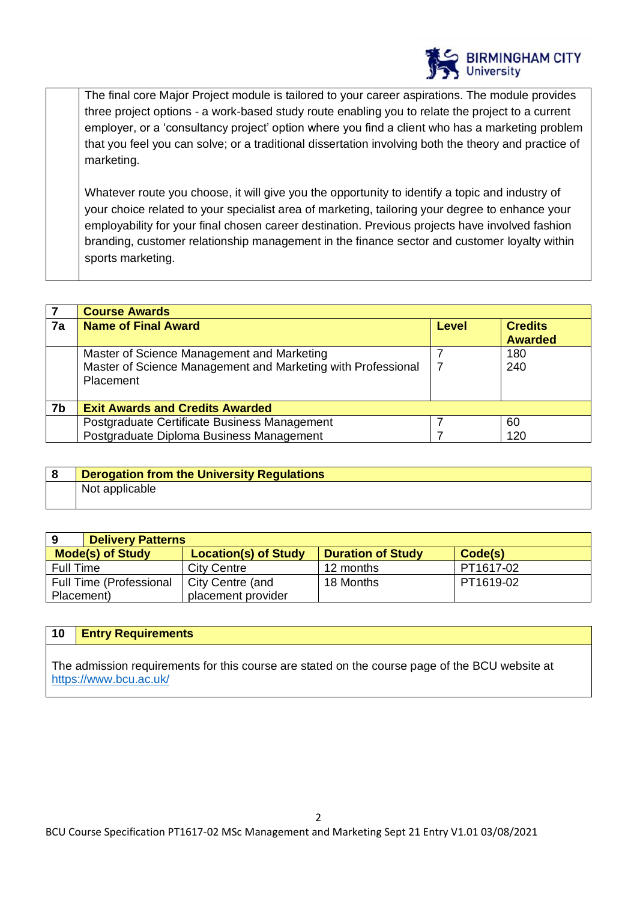

The final core Major Project module is tailored to your career aspirations. The module provides three project options - a work-based study route enabling you to relate the project to a current employer, or a 'consultancy project' option where you find a client who has a marketing problem that you feel you can solve; or a traditional dissertation involving both the theory and practice of marketing.

Whatever route you choose, it will give you the opportunity to identify a topic and industry of your choice related to your specialist area of marketing, tailoring your degree to enhance your employability for your final chosen career destination. Previous projects have involved fashion branding, customer relationship management in the finance sector and customer loyalty within sports marketing.

|    | <b>Course Awards</b>                                         |       |                |
|----|--------------------------------------------------------------|-------|----------------|
| 7a | <b>Name of Final Award</b>                                   | Level | <b>Credits</b> |
|    |                                                              |       | <b>Awarded</b> |
|    | Master of Science Management and Marketing                   |       | 180            |
|    | Master of Science Management and Marketing with Professional |       | 240            |
|    | <b>Placement</b>                                             |       |                |
|    |                                                              |       |                |
| 7b | <b>Exit Awards and Credits Awarded</b>                       |       |                |
|    | Postgraduate Certificate Business Management                 |       | 60             |
|    | Postgraduate Diploma Business Management                     |       | 120            |

| <b>Derogation from the University Regulations</b> |
|---------------------------------------------------|
| Not applicable                                    |

| 9                       | <b>Delivery Patterns</b>       |                             |                          |           |
|-------------------------|--------------------------------|-----------------------------|--------------------------|-----------|
| <b>Mode(s) of Study</b> |                                | <b>Location(s) of Study</b> | <b>Duration of Study</b> | Code(s)   |
| Full Time               |                                | <b>City Centre</b>          | 12 months                | PT1617-02 |
|                         | <b>Full Time (Professional</b> | City Centre (and            | 18 Months                | PT1619-02 |
| Placement)              |                                | placement provider          |                          |           |

## **10 Entry Requirements**

The admission requirements for this course are stated on the course page of the BCU website at <https://www.bcu.ac.uk/>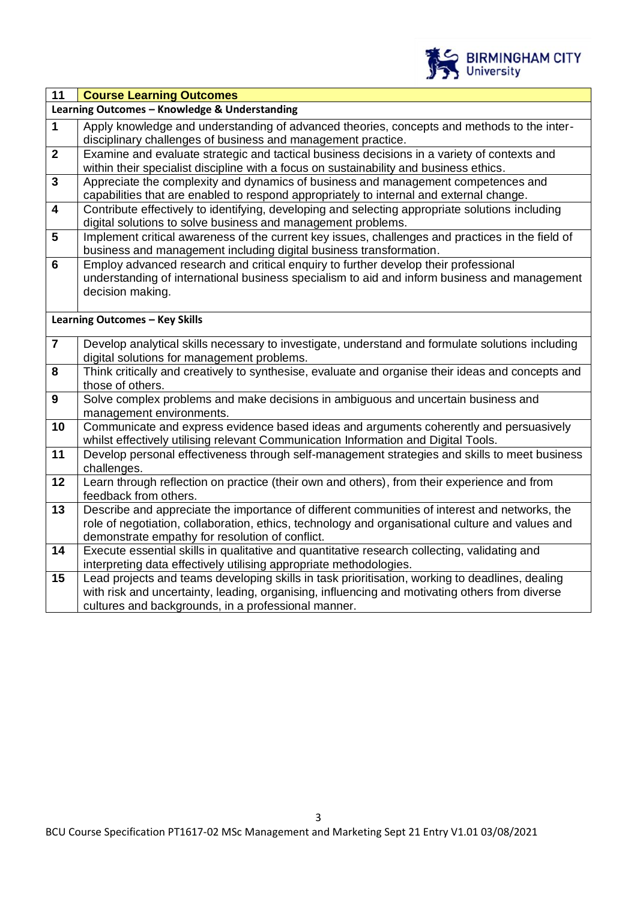

| Learning Outcomes - Knowledge & Understanding                                                                                                                                       |  |
|-------------------------------------------------------------------------------------------------------------------------------------------------------------------------------------|--|
|                                                                                                                                                                                     |  |
| $\mathbf{1}$<br>Apply knowledge and understanding of advanced theories, concepts and methods to the inter-                                                                          |  |
| disciplinary challenges of business and management practice.                                                                                                                        |  |
| $\mathbf{2}$<br>Examine and evaluate strategic and tactical business decisions in a variety of contexts and                                                                         |  |
| within their specialist discipline with a focus on sustainability and business ethics.                                                                                              |  |
| $\mathbf{3}$<br>Appreciate the complexity and dynamics of business and management competences and                                                                                   |  |
| capabilities that are enabled to respond appropriately to internal and external change.                                                                                             |  |
| $\boldsymbol{4}$<br>Contribute effectively to identifying, developing and selecting appropriate solutions including                                                                 |  |
| digital solutions to solve business and management problems.                                                                                                                        |  |
| $5\phantom{1}$<br>Implement critical awareness of the current key issues, challenges and practices in the field of                                                                  |  |
| business and management including digital business transformation.<br>$6\phantom{1}6$                                                                                               |  |
| Employ advanced research and critical enguiry to further develop their professional<br>understanding of international business specialism to aid and inform business and management |  |
| decision making.                                                                                                                                                                    |  |
|                                                                                                                                                                                     |  |
| <b>Learning Outcomes - Key Skills</b>                                                                                                                                               |  |
|                                                                                                                                                                                     |  |
| $\overline{7}$<br>Develop analytical skills necessary to investigate, understand and formulate solutions including                                                                  |  |
| digital solutions for management problems.                                                                                                                                          |  |
| 8<br>Think critically and creatively to synthesise, evaluate and organise their ideas and concepts and                                                                              |  |
| those of others.                                                                                                                                                                    |  |
| $\boldsymbol{9}$<br>Solve complex problems and make decisions in ambiguous and uncertain business and                                                                               |  |
| management environments.                                                                                                                                                            |  |
| 10<br>Communicate and express evidence based ideas and arguments coherently and persuasively                                                                                        |  |
| whilst effectively utilising relevant Communication Information and Digital Tools.                                                                                                  |  |
| 11<br>Develop personal effectiveness through self-management strategies and skills to meet business                                                                                 |  |
| challenges.                                                                                                                                                                         |  |
| Learn through reflection on practice (their own and others), from their experience and from<br>12                                                                                   |  |
| feedback from others.                                                                                                                                                               |  |
| Describe and appreciate the importance of different communities of interest and networks, the<br>13                                                                                 |  |
| role of negotiation, collaboration, ethics, technology and organisational culture and values and                                                                                    |  |
| demonstrate empathy for resolution of conflict.<br>14<br>Execute essential skills in qualitative and quantitative research collecting, validating and                               |  |
| interpreting data effectively utilising appropriate methodologies.                                                                                                                  |  |
| 15<br>Lead projects and teams developing skills in task prioritisation, working to deadlines, dealing                                                                               |  |
| with risk and uncertainty, leading, organising, influencing and motivating others from diverse                                                                                      |  |
| cultures and backgrounds, in a professional manner.                                                                                                                                 |  |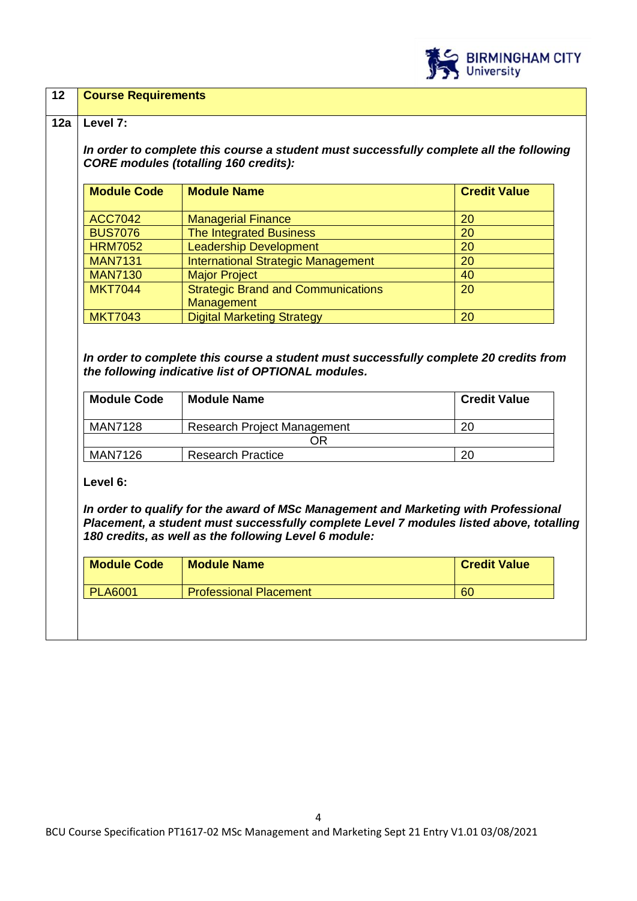

## **12 Course Requirements**

## **12a Level 7:**

*In order to complete this course a student must successfully complete all the following CORE modules (totalling 160 credits):*

| <b>Module Code</b>               | <b>Module Name</b>                                   | <b>Credit Value</b> |
|----------------------------------|------------------------------------------------------|---------------------|
|                                  |                                                      |                     |
| <b>ACC7042</b><br><b>BUS7076</b> | <b>Managerial Finance</b><br>The Integrated Business | 20<br>20            |
| <b>HRM7052</b>                   | <b>Leadership Development</b>                        | 20                  |
| <b>MAN7131</b>                   | <b>International Strategic Management</b>            | 20                  |
| <b>MAN7130</b>                   | <b>Major Project</b>                                 | 40                  |
| <b>MKT7044</b>                   | <b>Strategic Brand and Communications</b>            | 20                  |
|                                  | Management                                           |                     |
| <b>MKT7043</b>                   | <b>Digital Marketing Strategy</b>                    | 20                  |

*In order to complete this course a student must successfully complete 20 credits from the following indicative list of OPTIONAL modules.* 

| <b>Module Code</b> | <b>Module Name</b>                 | <b>Credit Value</b> |
|--------------------|------------------------------------|---------------------|
| MAN7128            | <b>Research Project Management</b> | 20                  |
| DR                 |                                    |                     |
| MAN7126            | <b>Research Practice</b>           | 20                  |

**Level 6:**

*In order to qualify for the award of MSc Management and Marketing with Professional Placement, a student must successfully complete Level 7 modules listed above, totalling 180 credits, as well as the following Level 6 module:*

| <b>Module Code</b> | <b>Module Name</b>            | <b>Credit Value</b> |
|--------------------|-------------------------------|---------------------|
| <b>PLA6001</b>     | <b>Professional Placement</b> | 60                  |
|                    |                               |                     |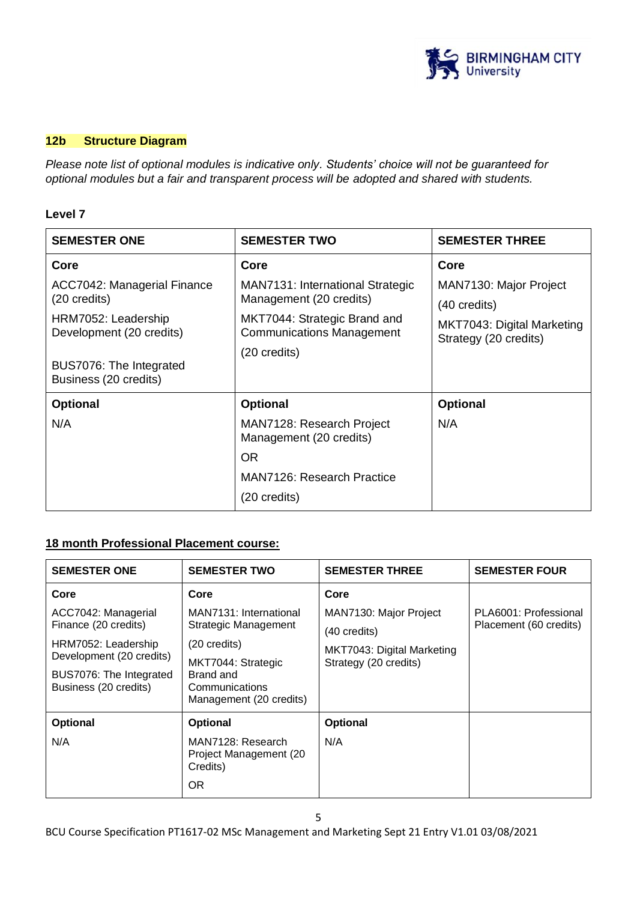

## **12b Structure Diagram**

*Please note list of optional modules is indicative only. Students' choice will not be guaranteed for optional modules but a fair and transparent process will be adopted and shared with students.*

## **Level 7**

| <b>SEMESTER ONE</b>                              | <b>SEMESTER TWO</b>                                              | <b>SEMESTER THREE</b>                               |
|--------------------------------------------------|------------------------------------------------------------------|-----------------------------------------------------|
| Core                                             | Core                                                             | Core                                                |
| ACC7042: Managerial Finance                      | MAN7131: International Strategic                                 | MAN7130: Major Project                              |
| $(20 \text{ credits})$                           | Management (20 credits)                                          | $(40 \text{ credits})$                              |
| HRM7052: Leadership<br>Development (20 credits)  | MKT7044: Strategic Brand and<br><b>Communications Management</b> | MKT7043: Digital Marketing<br>Strategy (20 credits) |
|                                                  | (20 credits)                                                     |                                                     |
| BUS7076: The Integrated<br>Business (20 credits) |                                                                  |                                                     |
| <b>Optional</b>                                  | <b>Optional</b>                                                  | Optional                                            |
| N/A                                              | MAN7128: Research Project<br>Management (20 credits)             | N/A                                                 |
|                                                  | OR.                                                              |                                                     |
|                                                  | MAN7126: Research Practice                                       |                                                     |
|                                                  | (20 credits)                                                     |                                                     |

## **18 month Professional Placement course:**

| <b>SEMESTER ONE</b>                              | <b>SEMESTER TWO</b>                                                          | <b>SEMESTER THREE</b>      | <b>SEMESTER FOUR</b>   |
|--------------------------------------------------|------------------------------------------------------------------------------|----------------------------|------------------------|
| Core                                             | Core                                                                         | Core                       |                        |
| ACC7042: Managerial                              | MAN7131: International                                                       | MAN7130: Major Project     | PLA6001: Professional  |
| Finance (20 credits)                             | <b>Strategic Management</b>                                                  | (40 credits)               | Placement (60 credits) |
| HRM7052: Leadership<br>Development (20 credits)  | (20 credits)                                                                 | MKT7043: Digital Marketing |                        |
| BUS7076: The Integrated<br>Business (20 credits) | MKT7044: Strategic<br>Brand and<br>Communications<br>Management (20 credits) | Strategy (20 credits)      |                        |
| <b>Optional</b>                                  | <b>Optional</b>                                                              | Optional                   |                        |
| N/A                                              | MAN7128: Research<br>Project Management (20<br>Credits)<br><b>OR</b>         | N/A                        |                        |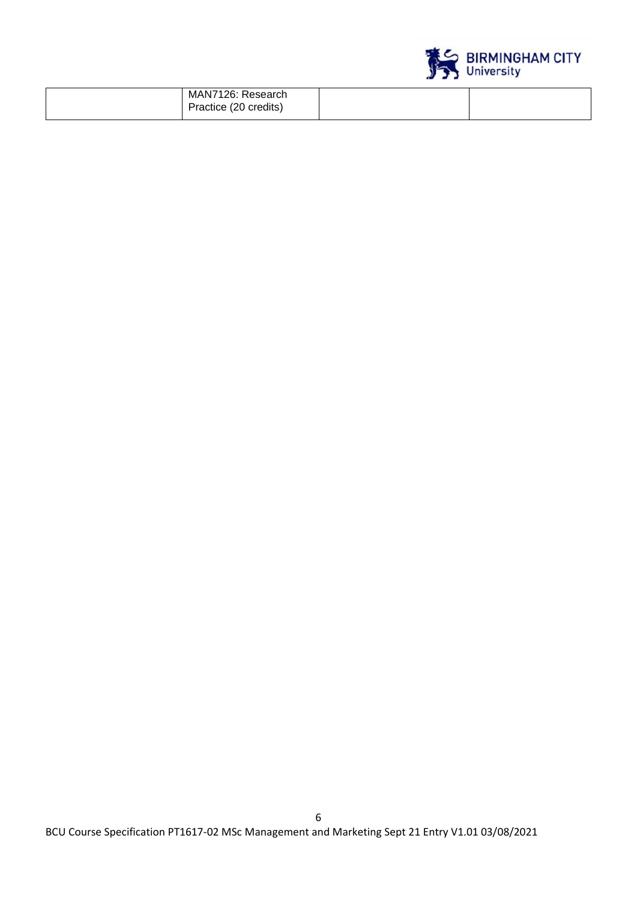

| MAN7126: Research<br>Practice (20 credits) |
|--------------------------------------------|
|--------------------------------------------|